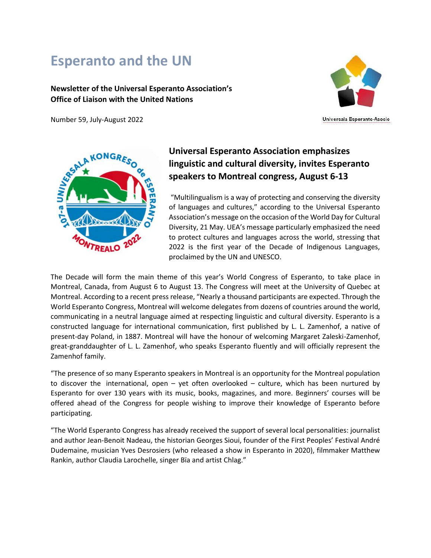# **Esperanto and the UN**

#### **Newsletter of the Universal Esperanto Association's Office of Liaison with the United Nations**

Number 59, July-August 2022



Universala Esperanto-Asocio



# **Universal Esperanto Association emphasizes linguistic and cultural diversity, invites Esperanto speakers to Montreal congress, August 6-13**

"Multilingualism is a way of protecting and conserving the diversity of languages and cultures," according to the Universal Esperanto Association's message on the occasion of the World Day for Cultural Diversity, 21 May. UEA's message particularly emphasized the need to protect cultures and languages across the world, stressing that 2022 is the first year of the Decade of Indigenous Languages, proclaimed by the UN and UNESCO.

The Decade will form the main theme of this year's World Congress of Esperanto, to take place in Montreal, Canada, from August 6 to August 13. The Congress will meet at the University of Quebec at Montreal. According to a recent press release, "Nearly a thousand participants are expected. Through the World Esperanto Congress, Montreal will welcome delegates from dozens of countries around the world, communicating in a neutral language aimed at respecting linguistic and cultural diversity. Esperanto is a constructed language for international communication, first published by L. L. Zamenhof, a native of present-day Poland, in 1887. Montreal will have the honour of welcoming Margaret Zaleski-Zamenhof, great-granddaughter of L. L. Zamenhof, who speaks Esperanto fluently and will officially represent the Zamenhof family.

"The presence of so many Esperanto speakers in Montreal is an opportunity for the Montreal population to discover the international, open – yet often overlooked – culture, which has been nurtured by Esperanto for over 130 years with its music, books, magazines, and more. Beginners' courses will be offered ahead of the Congress for people wishing to improve their knowledge of Esperanto before participating.

"The World Esperanto Congress has already received the support of several local personalities: journalist and author Jean-Benoit Nadeau, the historian Georges Sioui, founder of the First Peoples' Festival André Dudemaine, musician Yves Desrosiers (who released a show in Esperanto in 2020), filmmaker Matthew Rankin, author Claudia Larochelle, singer Bïa and artist Chlag."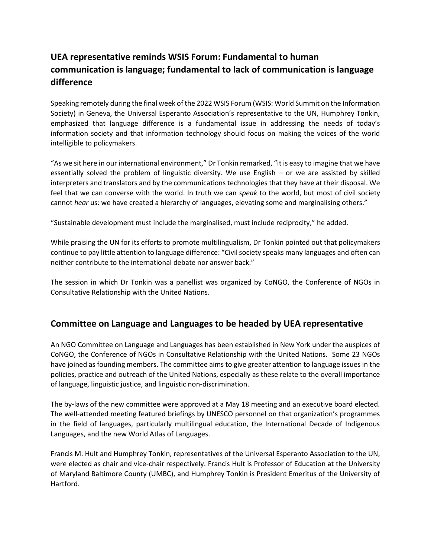## **UEA representative reminds WSIS Forum: Fundamental to human communication is language; fundamental to lack of communication is language difference**

Speaking remotely during the final week of the 2022 WSIS Forum (WSIS: World Summit on the Information Society) in Geneva, the Universal Esperanto Association's representative to the UN, Humphrey Tonkin, emphasized that language difference is a fundamental issue in addressing the needs of today's information society and that information technology should focus on making the voices of the world intelligible to policymakers.

"As we sit here in our international environment," Dr Tonkin remarked, "it is easy to imagine that we have essentially solved the problem of linguistic diversity. We use English – or we are assisted by skilled interpreters and translators and by the communications technologies that they have at their disposal. We feel that we can converse with the world. In truth we can *speak* to the world, but most of civil society cannot *hear* us: we have created a hierarchy of languages, elevating some and marginalising others."

"Sustainable development must include the marginalised, must include reciprocity," he added.

While praising the UN for its efforts to promote multilingualism, Dr Tonkin pointed out that policymakers continue to pay little attention to language difference: "Civil society speaks many languages and often can neither contribute to the international debate nor answer back."

The session in which Dr Tonkin was a panellist was organized by CoNGO, the Conference of NGOs in Consultative Relationship with the United Nations.

### **Committee on Language and Languages to be headed by UEA representative**

An NGO Committee on Language and Languages has been established in New York under the auspices of CoNGO, the Conference of NGOs in Consultative Relationship with the United Nations. Some 23 NGOs have joined as founding members. The committee aims to give greater attention to language issues in the policies, practice and outreach of the United Nations, especially as these relate to the overall importance of language, linguistic justice, and linguistic non-discrimination.

The by-laws of the new committee were approved at a May 18 meeting and an executive board elected. The well-attended meeting featured briefings by UNESCO personnel on that organization's programmes in the field of languages, particularly multilingual education, the International Decade of Indigenous Languages, and the new World Atlas of Languages.

Francis M. Hult and Humphrey Tonkin, representatives of the Universal Esperanto Association to the UN, were elected as chair and vice-chair respectively. Francis Hult is Professor of Education at the University of Maryland Baltimore County (UMBC), and Humphrey Tonkin is President Emeritus of the University of Hartford.